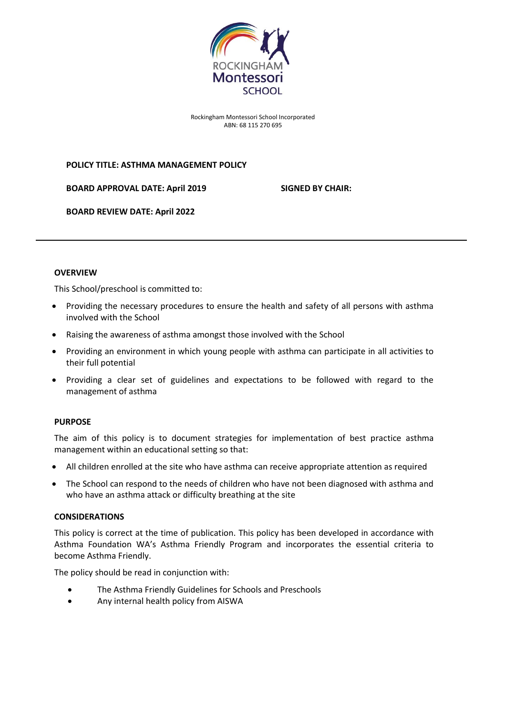

Rockingham Montessori School Incorporated ABN: 68 115 270 695

#### **POLICY TITLE: ASTHMA MANAGEMENT POLICY**

**BOARD APPROVAL DATE: April 2019 SIGNED BY CHAIR:**

**BOARD REVIEW DATE: April 2022**

#### **OVERVIEW**

This School/preschool is committed to:

- Providing the necessary procedures to ensure the health and safety of all persons with asthma involved with the School
- Raising the awareness of asthma amongst those involved with the School
- Providing an environment in which young people with asthma can participate in all activities to their full potential
- Providing a clear set of guidelines and expectations to be followed with regard to the management of asthma

## **PURPOSE**

The aim of this policy is to document strategies for implementation of best practice asthma management within an educational setting so that:

- All children enrolled at the site who have asthma can receive appropriate attention as required
- The School can respond to the needs of children who have not been diagnosed with asthma and who have an asthma attack or difficulty breathing at the site

#### **CONSIDERATIONS**

This policy is correct at the time of publication. This policy has been developed in accordance with Asthma Foundation WA's Asthma Friendly Program and incorporates the essential criteria to become Asthma Friendly.

The policy should be read in conjunction with:

- The Asthma Friendly Guidelines for Schools and Preschools
- Any internal health policy from AISWA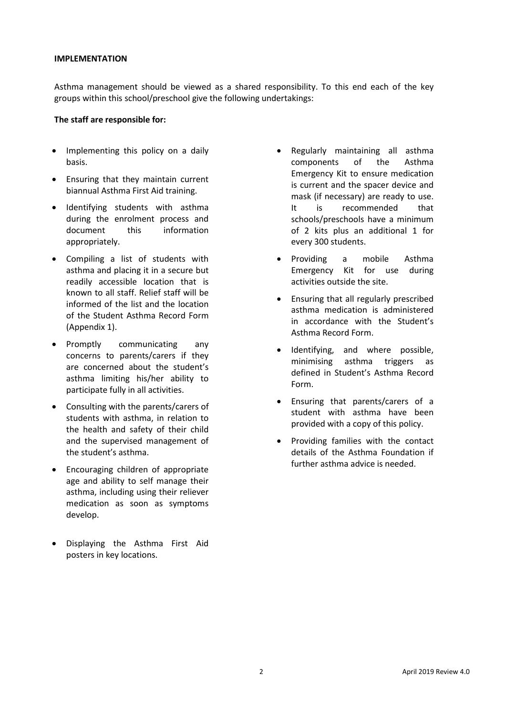#### **IMPLEMENTATION**

Asthma management should be viewed as a shared responsibility. To this end each of the key groups within this school/preschool give the following undertakings:

#### **The staff are responsible for:**

- Implementing this policy on a daily basis.
- Ensuring that they maintain current biannual Asthma First Aid training.
- Identifying students with asthma during the enrolment process and document this information appropriately.
- Compiling a list of students with asthma and placing it in a secure but readily accessible location that is known to all staff. Relief staff will be informed of the list and the location of the Student Asthma Record Form (Appendix 1).
- Promptly communicating any concerns to parents/carers if they are concerned about the student's asthma limiting his/her ability to participate fully in all activities.
- Consulting with the parents/carers of students with asthma, in relation to the health and safety of their child and the supervised management of the student's asthma.
- Encouraging children of appropriate age and ability to self manage their asthma, including using their reliever medication as soon as symptoms develop.
- Displaying the Asthma First Aid posters in key locations.
- Regularly maintaining all asthma components of the Asthma Emergency Kit to ensure medication is current and the spacer device and mask (if necessary) are ready to use. It is recommended that schools/preschools have a minimum of 2 kits plus an additional 1 for every 300 students.
- Providing a mobile Asthma Emergency Kit for use during activities outside the site.
- Ensuring that all regularly prescribed asthma medication is administered in accordance with the Student's Asthma Record Form.
- Identifying, and where possible, minimising asthma triggers as defined in Student's Asthma Record Form.
- Ensuring that parents/carers of a student with asthma have been provided with a copy of this policy.
- Providing families with the contact details of the Asthma Foundation if further asthma advice is needed.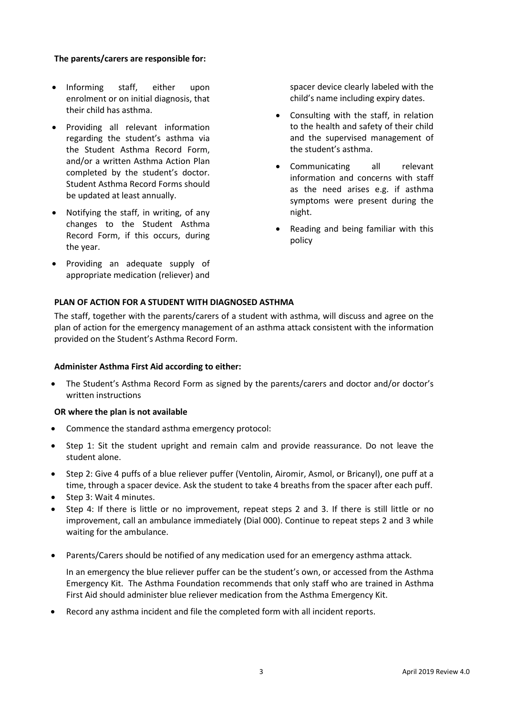## **The parents/carers are responsible for:**

- Informing staff, either upon enrolment or on initial diagnosis, that their child has asthma.
- Providing all relevant information regarding the student's asthma via the Student Asthma Record Form, and/or a written Asthma Action Plan completed by the student's doctor. Student Asthma Record Forms should be updated at least annually.
- Notifying the staff, in writing, of any changes to the Student Asthma Record Form, if this occurs, during the year.
- Providing an adequate supply of appropriate medication (reliever) and

**PLAN OF ACTION FOR A STUDENT WITH DIAGNOSED ASTHMA**

spacer device clearly labeled with the child's name including expiry dates.

- Consulting with the staff, in relation to the health and safety of their child and the supervised management of the student's asthma.
- Communicating all relevant information and concerns with staff as the need arises e.g. if asthma symptoms were present during the night.
- Reading and being familiar with this policy

The staff, together with the parents/carers of a student with asthma, will discuss and agree on the plan of action for the emergency management of an asthma attack consistent with the information provided on the Student's Asthma Record Form.

#### **Administer Asthma First Aid according to either:**

 The Student's Asthma Record Form as signed by the parents/carers and doctor and/or doctor's written instructions

#### **OR where the plan is not available**

- Commence the standard asthma emergency protocol:
- Step 1: Sit the student upright and remain calm and provide reassurance. Do not leave the student alone.
- Step 2: Give 4 puffs of a blue reliever puffer (Ventolin, Airomir, Asmol, or Bricanyl), one puff at a time, through a spacer device. Ask the student to take 4 breaths from the spacer after each puff.
- Step 3: Wait 4 minutes.
- Step 4: If there is little or no improvement, repeat steps 2 and 3. If there is still little or no improvement, call an ambulance immediately (Dial 000). Continue to repeat steps 2 and 3 while waiting for the ambulance.
- Parents/Carers should be notified of any medication used for an emergency asthma attack.

In an emergency the blue reliever puffer can be the student's own, or accessed from the Asthma Emergency Kit. The Asthma Foundation recommends that only staff who are trained in Asthma First Aid should administer blue reliever medication from the Asthma Emergency Kit.

Record any asthma incident and file the completed form with all incident reports.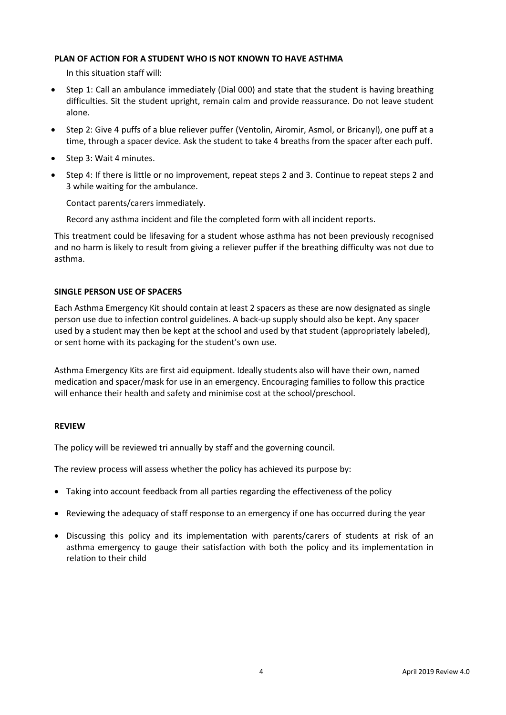#### **PLAN OF ACTION FOR A STUDENT WHO IS NOT KNOWN TO HAVE ASTHMA**

In this situation staff will:

- Step 1: Call an ambulance immediately (Dial 000) and state that the student is having breathing difficulties. Sit the student upright, remain calm and provide reassurance. Do not leave student alone.
- Step 2: Give 4 puffs of a blue reliever puffer (Ventolin, Airomir, Asmol, or Bricanyl), one puff at a time, through a spacer device. Ask the student to take 4 breaths from the spacer after each puff.
- Step 3: Wait 4 minutes.
- Step 4: If there is little or no improvement, repeat steps 2 and 3. Continue to repeat steps 2 and 3 while waiting for the ambulance.

Contact parents/carers immediately.

Record any asthma incident and file the completed form with all incident reports.

This treatment could be lifesaving for a student whose asthma has not been previously recognised and no harm is likely to result from giving a reliever puffer if the breathing difficulty was not due to asthma.

#### **SINGLE PERSON USE OF SPACERS**

Each Asthma Emergency Kit should contain at least 2 spacers as these are now designated as single person use due to infection control guidelines. A back-up supply should also be kept. Any spacer used by a student may then be kept at the school and used by that student (appropriately labeled), or sent home with its packaging for the student's own use.

Asthma Emergency Kits are first aid equipment. Ideally students also will have their own, named medication and spacer/mask for use in an emergency. Encouraging families to follow this practice will enhance their health and safety and minimise cost at the school/preschool.

#### **REVIEW**

The policy will be reviewed tri annually by staff and the governing council.

The review process will assess whether the policy has achieved its purpose by:

- Taking into account feedback from all parties regarding the effectiveness of the policy
- Reviewing the adequacy of staff response to an emergency if one has occurred during the year
- Discussing this policy and its implementation with parents/carers of students at risk of an asthma emergency to gauge their satisfaction with both the policy and its implementation in relation to their child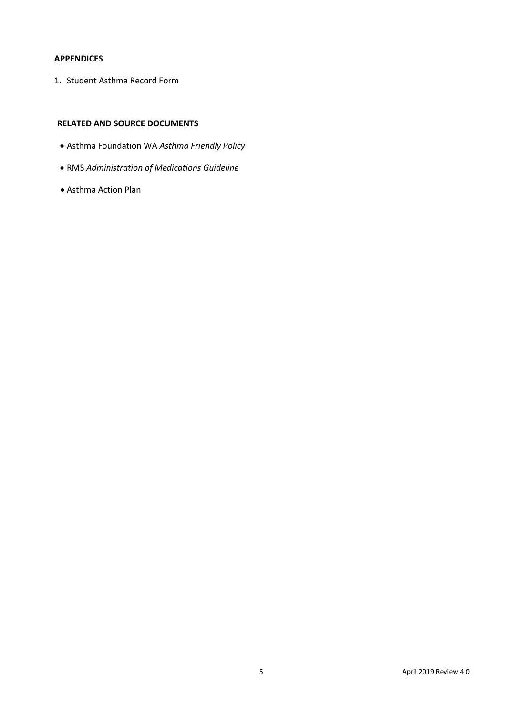## **APPENDICES**

1. Student Asthma Record Form

## **RELATED AND SOURCE DOCUMENTS**

- Asthma Foundation WA *Asthma Friendly Policy*
- RMS *Administration of Medications Guideline*
- Asthma Action Plan